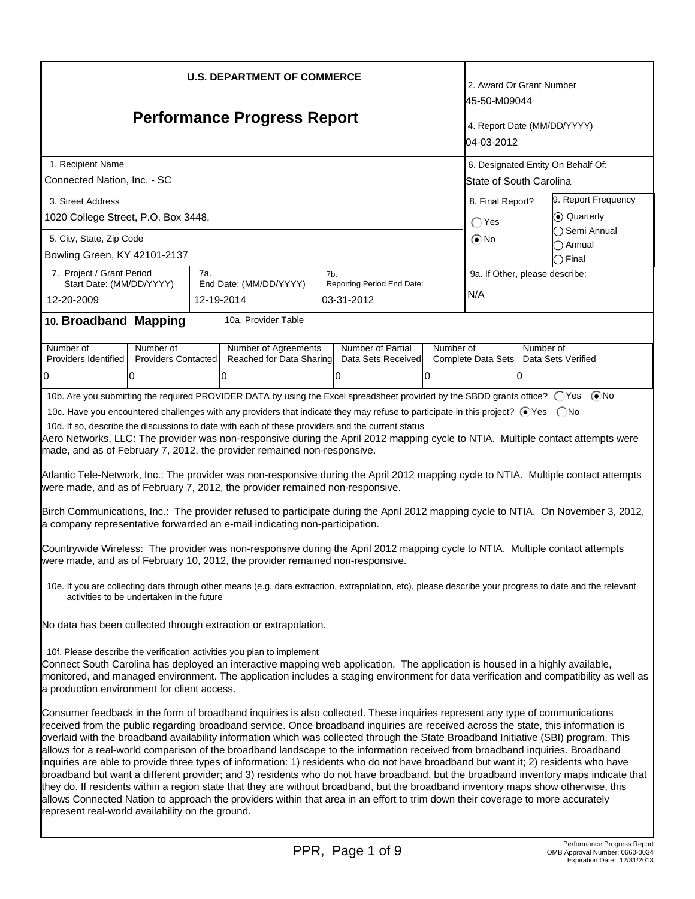| <b>U.S. DEPARTMENT OF COMMERCE</b>                                                                                                                                                                                                                                                                                                                                                                                                                                                                                                                                                                                                                                                                                                                                                                                                                                                                                                                                                                                                                                                                                                                  |                                      |                                          |           |                                         | 2. Award Or Grant Number<br>45-50-M09044  |  |  |
|-----------------------------------------------------------------------------------------------------------------------------------------------------------------------------------------------------------------------------------------------------------------------------------------------------------------------------------------------------------------------------------------------------------------------------------------------------------------------------------------------------------------------------------------------------------------------------------------------------------------------------------------------------------------------------------------------------------------------------------------------------------------------------------------------------------------------------------------------------------------------------------------------------------------------------------------------------------------------------------------------------------------------------------------------------------------------------------------------------------------------------------------------------|--------------------------------------|------------------------------------------|-----------|-----------------------------------------|-------------------------------------------|--|--|
| <b>Performance Progress Report</b>                                                                                                                                                                                                                                                                                                                                                                                                                                                                                                                                                                                                                                                                                                                                                                                                                                                                                                                                                                                                                                                                                                                  |                                      |                                          |           |                                         | 4. Report Date (MM/DD/YYYY)<br>04-03-2012 |  |  |
| 1. Recipient Name                                                                                                                                                                                                                                                                                                                                                                                                                                                                                                                                                                                                                                                                                                                                                                                                                                                                                                                                                                                                                                                                                                                                   |                                      |                                          |           |                                         | 6. Designated Entity On Behalf Of:        |  |  |
| Connected Nation, Inc. - SC                                                                                                                                                                                                                                                                                                                                                                                                                                                                                                                                                                                                                                                                                                                                                                                                                                                                                                                                                                                                                                                                                                                         |                                      |                                          |           |                                         | State of South Carolina                   |  |  |
| 3. Street Address                                                                                                                                                                                                                                                                                                                                                                                                                                                                                                                                                                                                                                                                                                                                                                                                                                                                                                                                                                                                                                                                                                                                   |                                      |                                          |           | 9. Report Frequency<br>8. Final Report? |                                           |  |  |
| 1020 College Street, P.O. Box 3448,                                                                                                                                                                                                                                                                                                                                                                                                                                                                                                                                                                                                                                                                                                                                                                                                                                                                                                                                                                                                                                                                                                                 |                                      |                                          |           | $\bigcap$ Yes                           | ⊙ Quarterly<br>Semi Annual                |  |  |
| 5. City, State, Zip Code                                                                                                                                                                                                                                                                                                                                                                                                                                                                                                                                                                                                                                                                                                                                                                                                                                                                                                                                                                                                                                                                                                                            |                                      |                                          |           | $\odot$ No                              | ) Annual                                  |  |  |
| Bowling Green, KY 42101-2137                                                                                                                                                                                                                                                                                                                                                                                                                                                                                                                                                                                                                                                                                                                                                                                                                                                                                                                                                                                                                                                                                                                        |                                      |                                          |           |                                         | Final                                     |  |  |
| 7. Project / Grant Period                                                                                                                                                                                                                                                                                                                                                                                                                                                                                                                                                                                                                                                                                                                                                                                                                                                                                                                                                                                                                                                                                                                           | 7a.                                  | 7b.                                      |           |                                         | 9a. If Other, please describe:            |  |  |
| Start Date: (MM/DD/YYYY)<br>12-20-2009                                                                                                                                                                                                                                                                                                                                                                                                                                                                                                                                                                                                                                                                                                                                                                                                                                                                                                                                                                                                                                                                                                              | End Date: (MM/DD/YYYY)<br>12-19-2014 | Reporting Period End Date:<br>03-31-2012 |           | N/A                                     |                                           |  |  |
| 10. Broadband Mapping                                                                                                                                                                                                                                                                                                                                                                                                                                                                                                                                                                                                                                                                                                                                                                                                                                                                                                                                                                                                                                                                                                                               | 10a. Provider Table                  |                                          |           |                                         |                                           |  |  |
| Number of<br>Number of                                                                                                                                                                                                                                                                                                                                                                                                                                                                                                                                                                                                                                                                                                                                                                                                                                                                                                                                                                                                                                                                                                                              | <b>Number of Agreements</b>          | Number of Partial                        | Number of |                                         | Number of                                 |  |  |
| <b>Providers Contacted</b><br>Providers Identified<br>0<br>10                                                                                                                                                                                                                                                                                                                                                                                                                                                                                                                                                                                                                                                                                                                                                                                                                                                                                                                                                                                                                                                                                       | Reached for Data Sharing<br>0        | Data Sets Received<br>10                 | 10        | Complete Data Sets                      | Data Sets Verified<br>10                  |  |  |
|                                                                                                                                                                                                                                                                                                                                                                                                                                                                                                                                                                                                                                                                                                                                                                                                                                                                                                                                                                                                                                                                                                                                                     |                                      |                                          |           |                                         |                                           |  |  |
| 10b. Are you submitting the required PROVIDER DATA by using the Excel spreadsheet provided by the SBDD grants office? ○ Yes ● No                                                                                                                                                                                                                                                                                                                                                                                                                                                                                                                                                                                                                                                                                                                                                                                                                                                                                                                                                                                                                    |                                      |                                          |           |                                         |                                           |  |  |
| 10c. Have you encountered challenges with any providers that indicate they may refuse to participate in this project? ⊙Yes  ONo                                                                                                                                                                                                                                                                                                                                                                                                                                                                                                                                                                                                                                                                                                                                                                                                                                                                                                                                                                                                                     |                                      |                                          |           |                                         |                                           |  |  |
| 10d. If so, describe the discussions to date with each of these providers and the current status<br>Aero Networks, LLC: The provider was non-responsive during the April 2012 mapping cycle to NTIA. Multiple contact attempts were<br>made, and as of February 7, 2012, the provider remained non-responsive.                                                                                                                                                                                                                                                                                                                                                                                                                                                                                                                                                                                                                                                                                                                                                                                                                                      |                                      |                                          |           |                                         |                                           |  |  |
| Atlantic Tele-Network, Inc.: The provider was non-responsive during the April 2012 mapping cycle to NTIA. Multiple contact attempts<br>were made, and as of February 7, 2012, the provider remained non-responsive.                                                                                                                                                                                                                                                                                                                                                                                                                                                                                                                                                                                                                                                                                                                                                                                                                                                                                                                                 |                                      |                                          |           |                                         |                                           |  |  |
| Birch Communications, Inc.: The provider refused to participate during the April 2012 mapping cycle to NTIA. On November 3, 2012,<br>a company representative forwarded an e-mail indicating non-participation.                                                                                                                                                                                                                                                                                                                                                                                                                                                                                                                                                                                                                                                                                                                                                                                                                                                                                                                                     |                                      |                                          |           |                                         |                                           |  |  |
| Countrywide Wireless: The provider was non-responsive during the April 2012 mapping cycle to NTIA. Multiple contact attempts<br>were made, and as of February 10, 2012, the provider remained non-responsive.                                                                                                                                                                                                                                                                                                                                                                                                                                                                                                                                                                                                                                                                                                                                                                                                                                                                                                                                       |                                      |                                          |           |                                         |                                           |  |  |
| 10e. If you are collecting data through other means (e.g. data extraction, extrapolation, etc), please describe your progress to date and the relevant<br>activities to be undertaken in the future                                                                                                                                                                                                                                                                                                                                                                                                                                                                                                                                                                                                                                                                                                                                                                                                                                                                                                                                                 |                                      |                                          |           |                                         |                                           |  |  |
| No data has been collected through extraction or extrapolation.                                                                                                                                                                                                                                                                                                                                                                                                                                                                                                                                                                                                                                                                                                                                                                                                                                                                                                                                                                                                                                                                                     |                                      |                                          |           |                                         |                                           |  |  |
| 10f. Please describe the verification activities you plan to implement<br>Connect South Carolina has deployed an interactive mapping web application. The application is housed in a highly available,<br>monitored, and managed environment. The application includes a staging environment for data verification and compatibility as well as<br>a production environment for client access.                                                                                                                                                                                                                                                                                                                                                                                                                                                                                                                                                                                                                                                                                                                                                      |                                      |                                          |           |                                         |                                           |  |  |
| Consumer feedback in the form of broadband inquiries is also collected. These inquiries represent any type of communications<br>received from the public regarding broadband service. Once broadband inquiries are received across the state, this information is<br>overlaid with the broadband availability information which was collected through the State Broadband Initiative (SBI) program. This<br>allows for a real-world comparison of the broadband landscape to the information received from broadband inquiries. Broadband<br>inquiries are able to provide three types of information: 1) residents who do not have broadband but want it; 2) residents who have<br>broadband but want a different provider; and 3) residents who do not have broadband, but the broadband inventory maps indicate that<br>they do. If residents within a region state that they are without broadband, but the broadband inventory maps show otherwise, this<br>allows Connected Nation to approach the providers within that area in an effort to trim down their coverage to more accurately<br>represent real-world availability on the ground. |                                      |                                          |           |                                         |                                           |  |  |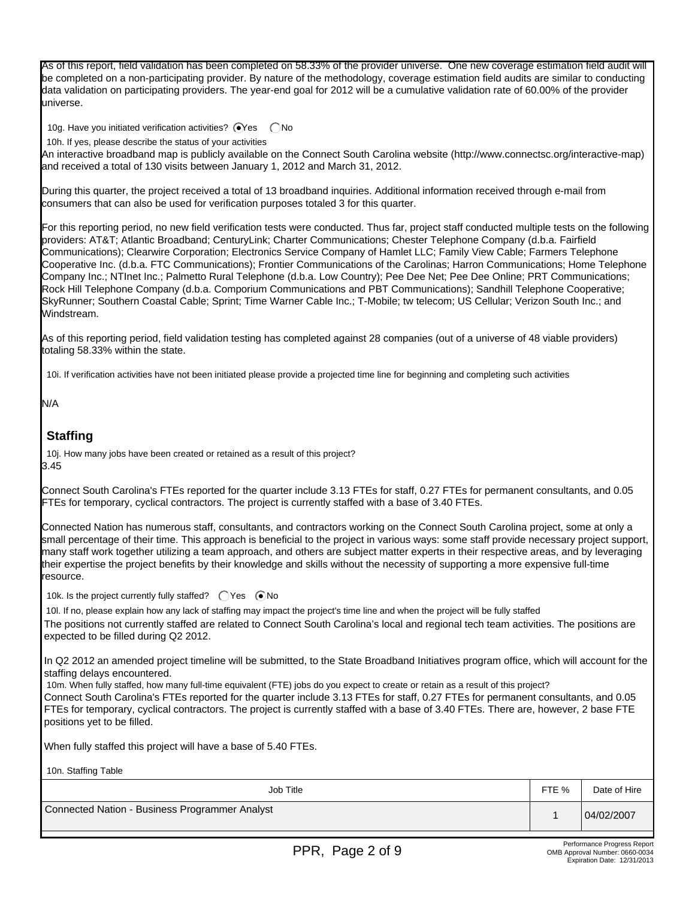As of this report, field validation has been completed on 58.33% of the provider universe. One new coverage estimation field audit will be completed on a non-participating provider. By nature of the methodology, coverage estimation field audits are similar to conducting data validation on participating providers. The year-end goal for 2012 will be a cumulative validation rate of 60.00% of the provider universe.

10g. Have you initiated verification activities?  $\bigcirc$ Yes  $\bigcirc$  No

10h. If yes, please describe the status of your activities

An interactive broadband map is publicly available on the Connect South Carolina website (http://www.connectsc.org/interactive-map) and received a total of 130 visits between January 1, 2012 and March 31, 2012.

During this quarter, the project received a total of 13 broadband inquiries. Additional information received through e-mail from consumers that can also be used for verification purposes totaled 3 for this quarter.

For this reporting period, no new field verification tests were conducted. Thus far, project staff conducted multiple tests on the following providers: AT&T; Atlantic Broadband; CenturyLink; Charter Communications; Chester Telephone Company (d.b.a. Fairfield Communications); Clearwire Corporation; Electronics Service Company of Hamlet LLC; Family View Cable; Farmers Telephone Cooperative Inc. (d.b.a. FTC Communications); Frontier Communications of the Carolinas; Harron Communications; Home Telephone Company Inc.; NTInet Inc.; Palmetto Rural Telephone (d.b.a. Low Country); Pee Dee Net; Pee Dee Online; PRT Communications; Rock Hill Telephone Company (d.b.a. Comporium Communications and PBT Communications); Sandhill Telephone Cooperative; SkyRunner; Southern Coastal Cable; Sprint; Time Warner Cable Inc.; T-Mobile; tw telecom; US Cellular; Verizon South Inc.; and Windstream.

As of this reporting period, field validation testing has completed against 28 companies (out of a universe of 48 viable providers) totaling 58.33% within the state.

10i. If verification activities have not been initiated please provide a projected time line for beginning and completing such activities

N/A

## **Staffing**

10j. How many jobs have been created or retained as a result of this project? 3.45

Connect South Carolina's FTEs reported for the quarter include 3.13 FTEs for staff, 0.27 FTEs for permanent consultants, and 0.05 FTEs for temporary, cyclical contractors. The project is currently staffed with a base of 3.40 FTEs.

Connected Nation has numerous staff, consultants, and contractors working on the Connect South Carolina project, some at only a small percentage of their time. This approach is beneficial to the project in various ways: some staff provide necessary project support, many staff work together utilizing a team approach, and others are subject matter experts in their respective areas, and by leveraging their expertise the project benefits by their knowledge and skills without the necessity of supporting a more expensive full-time resource.

10k. Is the project currently fully staffed?  $\bigcap$  Yes  $\bigcirc$  No

10l. If no, please explain how any lack of staffing may impact the project's time line and when the project will be fully staffed The positions not currently staffed are related to Connect South Carolina's local and regional tech team activities. The positions are expected to be filled during Q2 2012.

In Q2 2012 an amended project timeline will be submitted, to the State Broadband Initiatives program office, which will account for the staffing delays encountered.

10m. When fully staffed, how many full-time equivalent (FTE) jobs do you expect to create or retain as a result of this project? Connect South Carolina's FTEs reported for the quarter include 3.13 FTEs for staff, 0.27 FTEs for permanent consultants, and 0.05 FTEs for temporary, cyclical contractors. The project is currently staffed with a base of 3.40 FTEs. There are, however, 2 base FTE positions yet to be filled.

When fully staffed this project will have a base of 5.40 FTEs.

10n. Staffing Table

| TVII. Ulahiiy Tabiu                            |       |              |
|------------------------------------------------|-------|--------------|
| Job Title                                      | FTE % | Date of Hire |
| Connected Nation - Business Programmer Analyst |       | 04/02/2007   |
|                                                |       |              |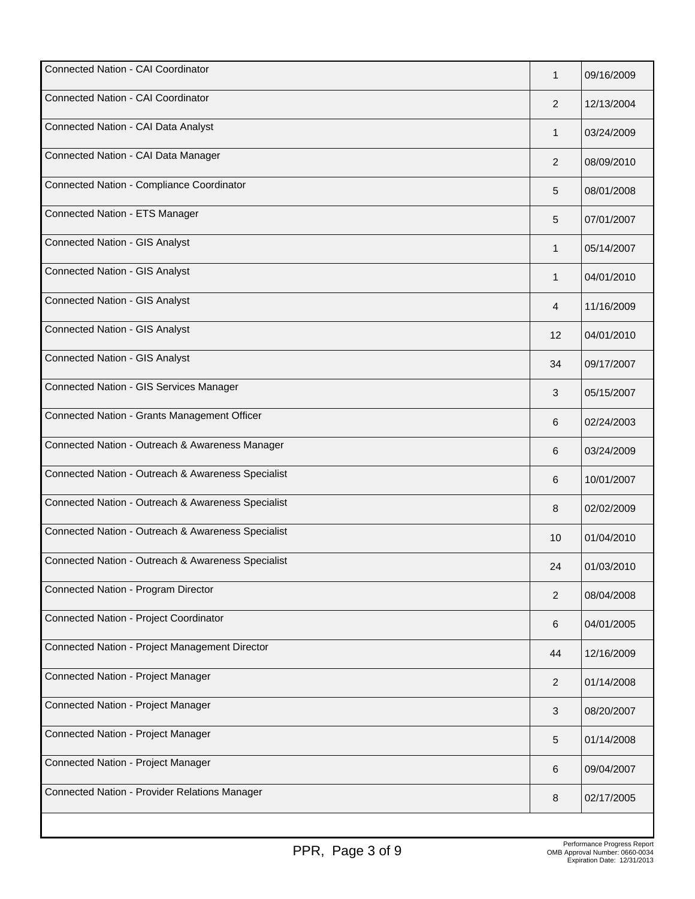| Connected Nation - CAI Coordinator                 | 1              | 09/16/2009 |
|----------------------------------------------------|----------------|------------|
| Connected Nation - CAI Coordinator                 | 2              | 12/13/2004 |
| Connected Nation - CAI Data Analyst                | 1              | 03/24/2009 |
| Connected Nation - CAI Data Manager                | 2              | 08/09/2010 |
| Connected Nation - Compliance Coordinator          | 5              | 08/01/2008 |
| Connected Nation - ETS Manager                     | 5              | 07/01/2007 |
| <b>Connected Nation - GIS Analyst</b>              | 1              | 05/14/2007 |
| <b>Connected Nation - GIS Analyst</b>              | 1              | 04/01/2010 |
| <b>Connected Nation - GIS Analyst</b>              | 4              | 11/16/2009 |
| <b>Connected Nation - GIS Analyst</b>              | 12             | 04/01/2010 |
| <b>Connected Nation - GIS Analyst</b>              | 34             | 09/17/2007 |
| Connected Nation - GIS Services Manager            | 3              | 05/15/2007 |
| Connected Nation - Grants Management Officer       | 6              | 02/24/2003 |
| Connected Nation - Outreach & Awareness Manager    | 6              | 03/24/2009 |
| Connected Nation - Outreach & Awareness Specialist | 6              | 10/01/2007 |
| Connected Nation - Outreach & Awareness Specialist | 8              | 02/02/2009 |
| Connected Nation - Outreach & Awareness Specialist | 10             | 01/04/2010 |
| Connected Nation - Outreach & Awareness Specialist | 24             | 01/03/2010 |
| Connected Nation - Program Director                | 2              | 08/04/2008 |
| Connected Nation - Project Coordinator             | 6              | 04/01/2005 |
| Connected Nation - Project Management Director     | 44             | 12/16/2009 |
| Connected Nation - Project Manager                 | $\overline{2}$ | 01/14/2008 |
| Connected Nation - Project Manager                 | 3              | 08/20/2007 |
| Connected Nation - Project Manager                 | 5              | 01/14/2008 |
| Connected Nation - Project Manager                 | 6              | 09/04/2007 |
| Connected Nation - Provider Relations Manager      | 8              | 02/17/2005 |
|                                                    |                |            |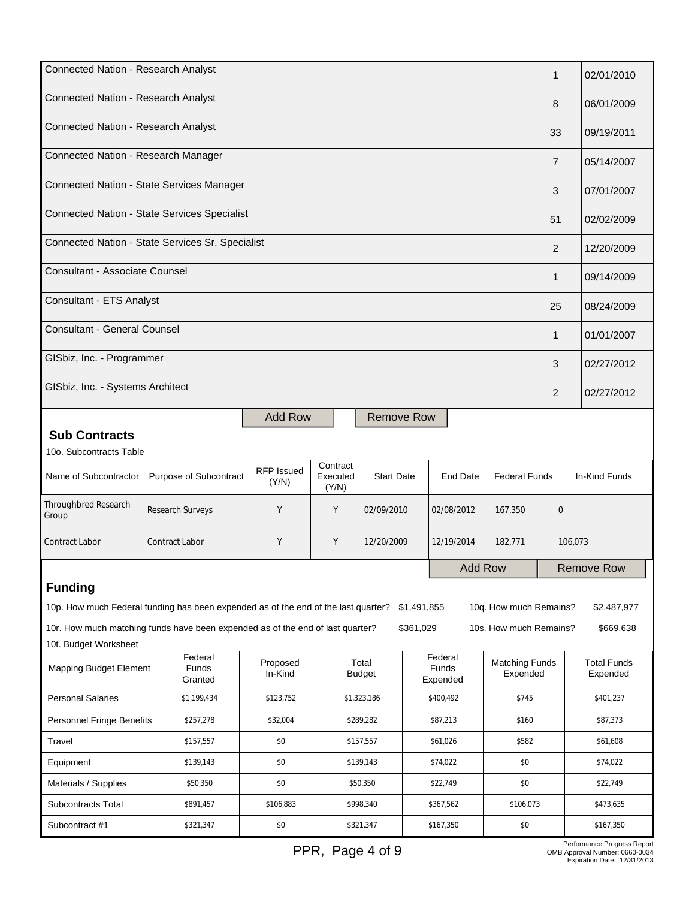| Connected Nation - Research Analyst                                                                                                                         |                                                   |                            |                               |                        |                              | 1                                       |                                   | 02/01/2010     |                                |               |
|-------------------------------------------------------------------------------------------------------------------------------------------------------------|---------------------------------------------------|----------------------------|-------------------------------|------------------------|------------------------------|-----------------------------------------|-----------------------------------|----------------|--------------------------------|---------------|
| Connected Nation - Research Analyst                                                                                                                         |                                                   |                            |                               |                        |                              |                                         | 8                                 |                | 06/01/2009                     |               |
| Connected Nation - Research Analyst                                                                                                                         |                                                   |                            |                               |                        |                              |                                         | 33                                |                | 09/19/2011                     |               |
| Connected Nation - Research Manager                                                                                                                         |                                                   |                            |                               |                        |                              |                                         |                                   | $\overline{7}$ |                                | 05/14/2007    |
| Connected Nation - State Services Manager                                                                                                                   |                                                   |                            |                               |                        |                              |                                         |                                   | 3              |                                | 07/01/2007    |
| Connected Nation - State Services Specialist                                                                                                                |                                                   |                            |                               |                        |                              |                                         | 51                                |                | 02/02/2009                     |               |
| Connected Nation - State Services Sr. Specialist                                                                                                            |                                                   |                            |                               |                        |                              |                                         |                                   | 2              |                                | 12/20/2009    |
| <b>Consultant - Associate Counsel</b>                                                                                                                       |                                                   |                            |                               |                        |                              |                                         |                                   | 1              |                                | 09/14/2009    |
| Consultant - ETS Analyst                                                                                                                                    |                                                   |                            |                               |                        |                              |                                         |                                   | 25             |                                | 08/24/2009    |
| <b>Consultant - General Counsel</b>                                                                                                                         |                                                   |                            |                               |                        |                              |                                         |                                   | 1              |                                | 01/01/2007    |
| GISbiz, Inc. - Programmer                                                                                                                                   |                                                   |                            |                               |                        |                              |                                         |                                   | 3              |                                | 02/27/2012    |
| GISbiz, Inc. - Systems Architect                                                                                                                            |                                                   |                            |                               |                        |                              |                                         |                                   | 2              |                                | 02/27/2012    |
| <b>Sub Contracts</b><br>10o. Subcontracts Table                                                                                                             |                                                   | <b>Add Row</b>             |                               | <b>Remove Row</b>      |                              |                                         |                                   |                |                                |               |
| Name of Subcontractor                                                                                                                                       | Purpose of Subcontract                            | <b>RFP Issued</b><br>(Y/N) | Contract<br>Executed<br>(Y/N) | <b>Start Date</b>      |                              | <b>End Date</b><br><b>Federal Funds</b> |                                   |                |                                | In-Kind Funds |
| Throughbred Research<br>Group                                                                                                                               | Research Surveys                                  | Υ                          | Y                             | 02/09/2010             |                              | 02/08/2012<br>167,350                   |                                   | $\mathbf{0}$   |                                |               |
| <b>Contract Labor</b>                                                                                                                                       | <b>Contract Labor</b>                             | Y                          | Υ                             | 12/20/2009             |                              | 12/19/2014<br>182,771                   |                                   | 106,073        |                                |               |
| Add Row                                                                                                                                                     |                                                   |                            |                               |                        | <b>Remove Row</b>            |                                         |                                   |                |                                |               |
| <b>Funding</b>                                                                                                                                              |                                                   |                            |                               |                        |                              |                                         |                                   |                |                                |               |
| \$2,487,977<br>10p. How much Federal funding has been expended as of the end of the last quarter?<br>\$1,491,855<br>10q. How much Remains?                  |                                                   |                            |                               |                        |                              |                                         |                                   |                |                                |               |
| 10r. How much matching funds have been expended as of the end of last quarter?<br>\$361,029<br>\$669,638<br>10s. How much Remains?<br>10t. Budget Worksheet |                                                   |                            |                               |                        |                              |                                         |                                   |                |                                |               |
| <b>Mapping Budget Element</b>                                                                                                                               | Federal<br>Funds<br>Granted                       | Proposed<br>In-Kind        |                               | Total<br><b>Budget</b> | Federal<br>Funds<br>Expended |                                         | <b>Matching Funds</b><br>Expended |                | <b>Total Funds</b><br>Expended |               |
| <b>Personal Salaries</b>                                                                                                                                    | \$1,199,434                                       | \$123,752                  |                               | \$1,323,186            |                              | \$400,492                               |                                   | \$745          |                                | \$401,237     |
| <b>Personnel Fringe Benefits</b>                                                                                                                            | \$257,278                                         | \$32,004                   |                               | \$289,282              |                              | \$87,213<br>\$160                       |                                   |                |                                | \$87,373      |
| Travel                                                                                                                                                      | \$157,557                                         | \$0                        |                               | \$157,557              |                              | \$61,026                                | \$582                             |                |                                | \$61,608      |
| Equipment                                                                                                                                                   | \$139,143                                         | \$0                        |                               | \$139,143              |                              | \$74,022                                | \$0                               |                |                                | \$74,022      |
| Materials / Supplies                                                                                                                                        | \$50,350                                          | \$0                        |                               | \$50,350               |                              | \$22,749                                | \$0                               |                |                                | \$22,749      |
| Subcontracts Total                                                                                                                                          | \$891,457                                         | \$106,883                  |                               | \$998,340              |                              | \$367,562                               | \$106,073                         |                |                                | \$473,635     |
| Subcontract #1                                                                                                                                              | \$321,347<br>\$0<br>\$321,347<br>\$167,350<br>\$0 |                            |                               |                        | \$167,350                    |                                         |                                   |                |                                |               |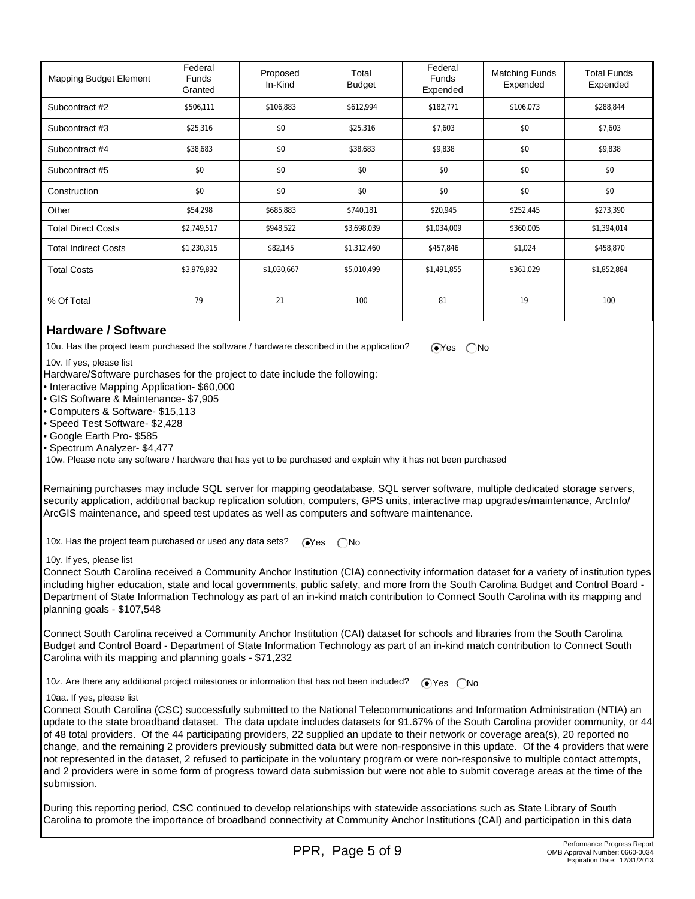| <b>Mapping Budget Element</b> | Federal<br><b>Funds</b><br>Granted | Proposed<br>In-Kind | Total<br><b>Budget</b> | Federal<br><b>Funds</b><br>Expended | <b>Matching Funds</b><br>Expended | <b>Total Funds</b><br>Expended |
|-------------------------------|------------------------------------|---------------------|------------------------|-------------------------------------|-----------------------------------|--------------------------------|
| Subcontract #2                | \$506,111                          | \$106,883           | \$612,994              | \$182,771                           | \$106,073                         | \$288,844                      |
| Subcontract #3                | \$25,316                           | \$0                 | \$25,316               | \$7,603                             | \$0                               | \$7,603                        |
| Subcontract #4                | \$38,683                           | \$0                 | \$38,683               | \$9,838                             | \$0                               | \$9,838                        |
| Subcontract #5                | \$0                                | \$0                 | \$0                    | \$0                                 | \$0                               | \$0                            |
| Construction                  | \$0                                | \$0                 | \$0                    | \$0                                 | \$0                               | \$0                            |
| Other                         | \$54,298                           | \$685,883           | \$740,181              | \$20,945                            | \$252,445                         | \$273,390                      |
| <b>Total Direct Costs</b>     | \$2,749,517                        | \$948,522           | \$3,698,039            | \$1,034,009                         | \$360,005                         | \$1,394,014                    |
| <b>Total Indirect Costs</b>   | \$1,230,315                        | \$82,145            | \$1,312,460            | \$457,846                           | \$1,024                           | \$458,870                      |
| <b>Total Costs</b>            | \$3,979,832                        | \$1,030,667         | \$5,010,499            | \$1,491,855                         | \$361,029                         | \$1,852,884                    |
| % Of Total                    | 79                                 | 21                  | 100                    | 81                                  | 19                                | 100                            |

### **Hardware / Software**

10u. Has the project team purchased the software / hardware described in the application?  $\bigcirc$  Yes  $\bigcirc$  No

10v. If yes, please list

Hardware/Software purchases for the project to date include the following:

• Interactive Mapping Application- \$60,000

• GIS Software & Maintenance- \$7,905

• Computers & Software- \$15,113

• Speed Test Software- \$2,428

• Google Earth Pro- \$585

• Spectrum Analyzer- \$4,477

10w. Please note any software / hardware that has yet to be purchased and explain why it has not been purchased

Remaining purchases may include SQL server for mapping geodatabase, SQL server software, multiple dedicated storage servers, security application, additional backup replication solution, computers, GPS units, interactive map upgrades/maintenance, ArcInfo/ ArcGIS maintenance, and speed test updates as well as computers and software maintenance.

10x. Has the project team purchased or used any data sets?  $\bigcirc$ Yes  $\bigcirc$  No

#### 10y. If yes, please list

Connect South Carolina received a Community Anchor Institution (CIA) connectivity information dataset for a variety of institution types including higher education, state and local governments, public safety, and more from the South Carolina Budget and Control Board - Department of State Information Technology as part of an in-kind match contribution to Connect South Carolina with its mapping and planning goals - \$107,548

Connect South Carolina received a Community Anchor Institution (CAI) dataset for schools and libraries from the South Carolina Budget and Control Board - Department of State Information Technology as part of an in-kind match contribution to Connect South Carolina with its mapping and planning goals - \$71,232

10z. Are there any additional project milestones or information that has not been included?  $\bigcirc$  Yes  $\bigcirc$  No

#### 10aa. If yes, please list

Connect South Carolina (CSC) successfully submitted to the National Telecommunications and Information Administration (NTIA) an update to the state broadband dataset. The data update includes datasets for 91.67% of the South Carolina provider community, or 44 of 48 total providers. Of the 44 participating providers, 22 supplied an update to their network or coverage area(s), 20 reported no change, and the remaining 2 providers previously submitted data but were non-responsive in this update. Of the 4 providers that were not represented in the dataset, 2 refused to participate in the voluntary program or were non-responsive to multiple contact attempts, and 2 providers were in some form of progress toward data submission but were not able to submit coverage areas at the time of the submission.

During this reporting period, CSC continued to develop relationships with statewide associations such as State Library of South Carolina to promote the importance of broadband connectivity at Community Anchor Institutions (CAI) and participation in this data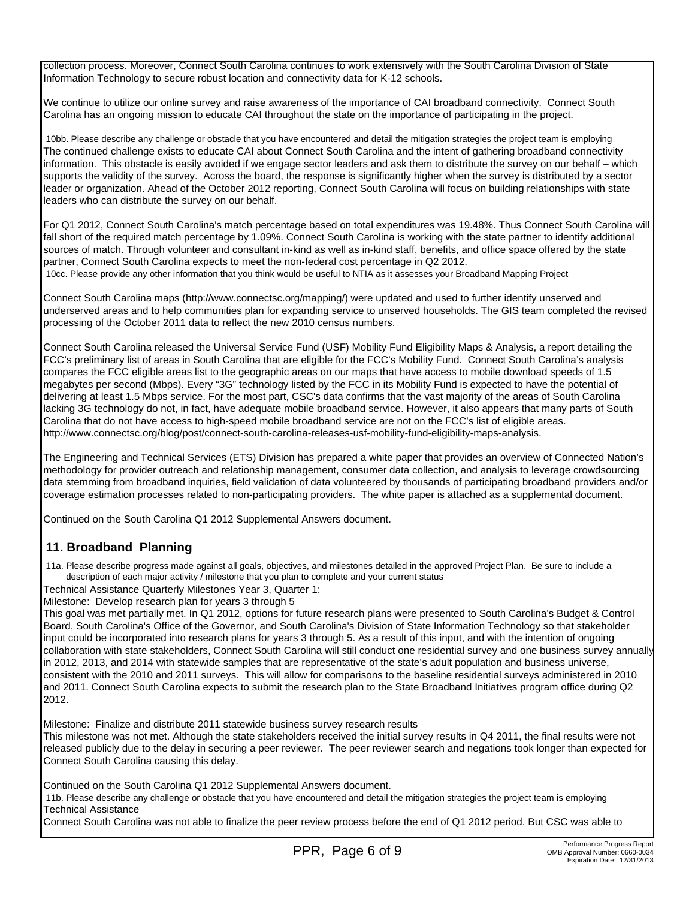collection process. Moreover, Connect South Carolina continues to work extensively with the South Carolina Division of State Information Technology to secure robust location and connectivity data for K-12 schools.

We continue to utilize our online survey and raise awareness of the importance of CAI broadband connectivity. Connect South Carolina has an ongoing mission to educate CAI throughout the state on the importance of participating in the project.

 10bb. Please describe any challenge or obstacle that you have encountered and detail the mitigation strategies the project team is employing The continued challenge exists to educate CAI about Connect South Carolina and the intent of gathering broadband connectivity information. This obstacle is easily avoided if we engage sector leaders and ask them to distribute the survey on our behalf – which supports the validity of the survey. Across the board, the response is significantly higher when the survey is distributed by a sector leader or organization. Ahead of the October 2012 reporting, Connect South Carolina will focus on building relationships with state leaders who can distribute the survey on our behalf.

For Q1 2012, Connect South Carolina's match percentage based on total expenditures was 19.48%. Thus Connect South Carolina will fall short of the required match percentage by 1.09%. Connect South Carolina is working with the state partner to identify additional sources of match. Through volunteer and consultant in-kind as well as in-kind staff, benefits, and office space offered by the state partner, Connect South Carolina expects to meet the non-federal cost percentage in Q2 2012.

10cc. Please provide any other information that you think would be useful to NTIA as it assesses your Broadband Mapping Project

Connect South Carolina maps (http://www.connectsc.org/mapping/) were updated and used to further identify unserved and underserved areas and to help communities plan for expanding service to unserved households. The GIS team completed the revised processing of the October 2011 data to reflect the new 2010 census numbers.

Connect South Carolina released the Universal Service Fund (USF) Mobility Fund Eligibility Maps & Analysis, a report detailing the FCC's preliminary list of areas in South Carolina that are eligible for the FCC's Mobility Fund. Connect South Carolina's analysis compares the FCC eligible areas list to the geographic areas on our maps that have access to mobile download speeds of 1.5 megabytes per second (Mbps). Every "3G" technology listed by the FCC in its Mobility Fund is expected to have the potential of delivering at least 1.5 Mbps service. For the most part, CSC's data confirms that the vast majority of the areas of South Carolina lacking 3G technology do not, in fact, have adequate mobile broadband service. However, it also appears that many parts of South Carolina that do not have access to high-speed mobile broadband service are not on the FCC's list of eligible areas. http://www.connectsc.org/blog/post/connect-south-carolina-releases-usf-mobility-fund-eligibility-maps-analysis.

The Engineering and Technical Services (ETS) Division has prepared a white paper that provides an overview of Connected Nation's methodology for provider outreach and relationship management, consumer data collection, and analysis to leverage crowdsourcing data stemming from broadband inquiries, field validation of data volunteered by thousands of participating broadband providers and/or coverage estimation processes related to non-participating providers. The white paper is attached as a supplemental document.

Continued on the South Carolina Q1 2012 Supplemental Answers document.

# **11. Broadband Planning**

 11a. Please describe progress made against all goals, objectives, and milestones detailed in the approved Project Plan. Be sure to include a description of each major activity / milestone that you plan to complete and your current status

Technical Assistance Quarterly Milestones Year 3, Quarter 1:

Milestone: Develop research plan for years 3 through 5

This goal was met partially met. In Q1 2012, options for future research plans were presented to South Carolina's Budget & Control Board, South Carolina's Office of the Governor, and South Carolina's Division of State Information Technology so that stakeholder input could be incorporated into research plans for years 3 through 5. As a result of this input, and with the intention of ongoing collaboration with state stakeholders, Connect South Carolina will still conduct one residential survey and one business survey annually in 2012, 2013, and 2014 with statewide samples that are representative of the state's adult population and business universe, consistent with the 2010 and 2011 surveys. This will allow for comparisons to the baseline residential surveys administered in 2010 and 2011. Connect South Carolina expects to submit the research plan to the State Broadband Initiatives program office during Q2 2012.

Milestone: Finalize and distribute 2011 statewide business survey research results

This milestone was not met. Although the state stakeholders received the initial survey results in Q4 2011, the final results were not released publicly due to the delay in securing a peer reviewer. The peer reviewer search and negations took longer than expected for Connect South Carolina causing this delay.

Continued on the South Carolina Q1 2012 Supplemental Answers document.

 11b. Please describe any challenge or obstacle that you have encountered and detail the mitigation strategies the project team is employing Technical Assistance

Connect South Carolina was not able to finalize the peer review process before the end of Q1 2012 period. But CSC was able to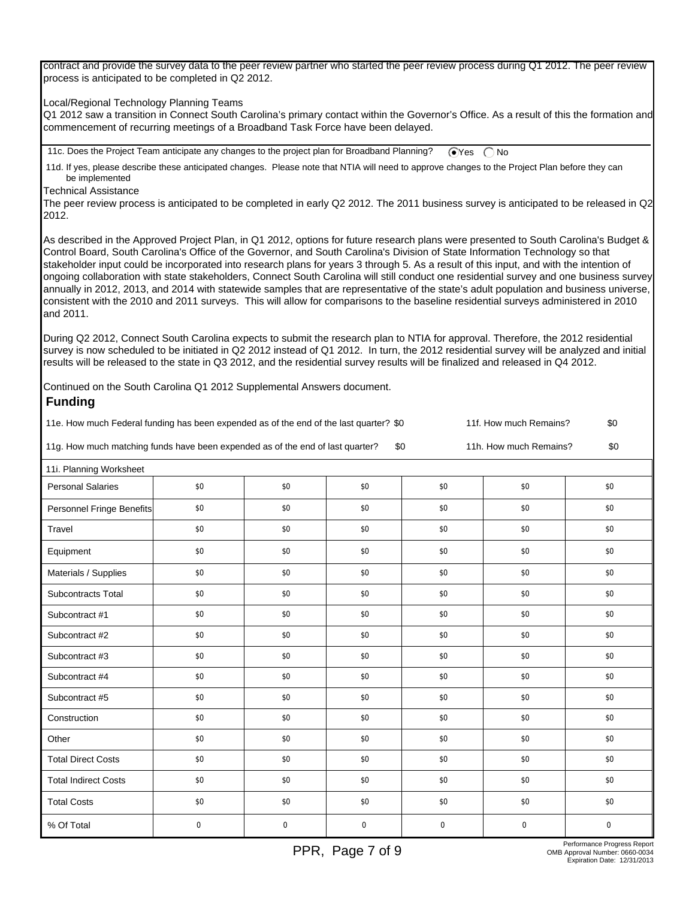contract and provide the survey data to the peer review partner who started the peer review process during Q1 2012. The peer review process is anticipated to be completed in Q2 2012.

Local/Regional Technology Planning Teams

Q1 2012 saw a transition in Connect South Carolina's primary contact within the Governor's Office. As a result of this the formation and commencement of recurring meetings of a Broadband Task Force have been delayed.

11c. Does the Project Team anticipate any changes to the project plan for Broadband Planning?  $\bigcirc$  Yes  $\bigcirc$  No

 11d. If yes, please describe these anticipated changes. Please note that NTIA will need to approve changes to the Project Plan before they can be implemented

Technical Assistance

The peer review process is anticipated to be completed in early Q2 2012. The 2011 business survey is anticipated to be released in Q2 2012.

As described in the Approved Project Plan, in Q1 2012, options for future research plans were presented to South Carolina's Budget & Control Board, South Carolina's Office of the Governor, and South Carolina's Division of State Information Technology so that stakeholder input could be incorporated into research plans for years 3 through 5. As a result of this input, and with the intention of ongoing collaboration with state stakeholders, Connect South Carolina will still conduct one residential survey and one business survey annually in 2012, 2013, and 2014 with statewide samples that are representative of the state's adult population and business universe, consistent with the 2010 and 2011 surveys. This will allow for comparisons to the baseline residential surveys administered in 2010 and 2011.

During Q2 2012, Connect South Carolina expects to submit the research plan to NTIA for approval. Therefore, the 2012 residential survey is now scheduled to be initiated in Q2 2012 instead of Q1 2012. In turn, the 2012 residential survey will be analyzed and initial results will be released to the state in Q3 2012, and the residential survey results will be finalized and released in Q4 2012.

Continued on the South Carolina Q1 2012 Supplemental Answers document.  **Funding**

| 11e. How much Federal funding has been expended as of the end of the last quarter? \$0 | 11f. How much Remains? | \$0                    |     |
|----------------------------------------------------------------------------------------|------------------------|------------------------|-----|
| 11g. How much matching funds have been expended as of the end of last quarter?         |                        | 11h. How much Remains? | \$0 |

 11i. Planning Worksheet Personal Salaries | \$0 | \$0 | \$0 \$0 \$0 \$0 \$0 \$0 \$0 \$0 \$0 \$1 Personnel Fringe Benefits  $\begin{array}{cccc} 1 & 0 & 0 \\ 0 & 0 & 0 \\ 0 & 0 & 0 \end{array}$  \$0 \$0 \$0 \$0 \$0 Travel \$0 \$0 \$0 \$0 \$0 \$0 \$0 \$0 \$0 \$0 \$0 \$0 Equipment \$0 \$0 \$0 \$0 \$0 \$0 Materials / Supplies \$0 \$0 \$0 \$0 \$0 \$0 Subcontracts Total \$0 \$0 \$0 \$0 \$0 \$0 Subcontract #1 \$0 \$0 \$0 \$0 \$0 \$0 Subcontract #2 \$0 \$0 \$0 \$0 \$0 \$0 Subcontract #3 \$0 \$0 \$0 \$0 \$0 \$0 Subcontract #4 \$0 \$0 \$0 \$0 \$0 \$0 Subcontract #5 \$0 \$0 \$0 \$0 \$0 \$0 Construction \$0 \$0 \$0 \$0 \$0 \$0 Other 50 \$0 \$0 \$0 \$0 \$0 \$0 \$0 \$0 \$0 \$0 \$0 Total Direct Costs  $\begin{array}{cccc} \text{30} & \text{10} & \text{30} & \text{10} & \text{30} & \text{10} & \text{30} & \text{10} & \text{30} & \text{10} & \text{30} & \text{10} & \text{30} & \text{10} & \text{30} & \text{10} & \text{30} & \text{10} & \text{30} & \text{10} & \text{30} & \text{10} & \text{30} & \text{10} & \text{30} & \text{10} & \text{30} & \text{10$ Total Indirect Costs \$0 \$0 \$0 \$0 \$0 \$0 \$0 Total Costs \$0 \$0 \$0 \$0 \$0 \$0 % Of Total 0 0 0 0 0 0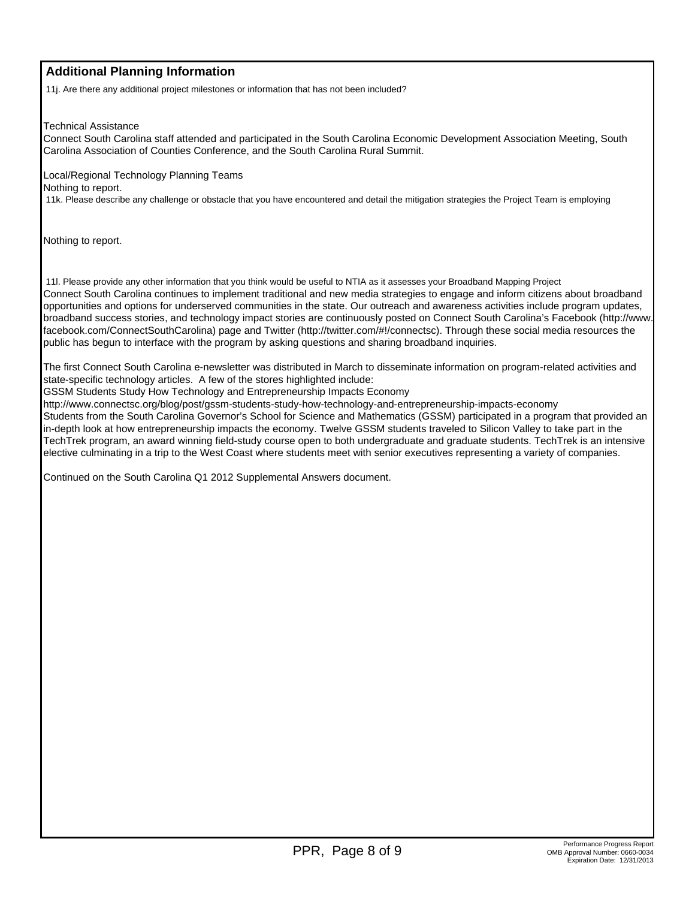### **Additional Planning Information**

11j. Are there any additional project milestones or information that has not been included?

Technical Assistance

Connect South Carolina staff attended and participated in the South Carolina Economic Development Association Meeting, South Carolina Association of Counties Conference, and the South Carolina Rural Summit.

Local/Regional Technology Planning Teams Nothing to report.

11k. Please describe any challenge or obstacle that you have encountered and detail the mitigation strategies the Project Team is employing

Nothing to report.

 11l. Please provide any other information that you think would be useful to NTIA as it assesses your Broadband Mapping Project Connect South Carolina continues to implement traditional and new media strategies to engage and inform citizens about broadband opportunities and options for underserved communities in the state. Our outreach and awareness activities include program updates, broadband success stories, and technology impact stories are continuously posted on Connect South Carolina's Facebook (http://www. facebook.com/ConnectSouthCarolina) page and Twitter (http://twitter.com/#!/connectsc). Through these social media resources the public has begun to interface with the program by asking questions and sharing broadband inquiries.

The first Connect South Carolina e-newsletter was distributed in March to disseminate information on program-related activities and state-specific technology articles. A few of the stores highlighted include:

GSSM Students Study How Technology and Entrepreneurship Impacts Economy

http://www.connectsc.org/blog/post/gssm-students-study-how-technology-and-entrepreneurship-impacts-economy

Students from the South Carolina Governor's School for Science and Mathematics (GSSM) participated in a program that provided an in-depth look at how entrepreneurship impacts the economy. Twelve GSSM students traveled to Silicon Valley to take part in the TechTrek program, an award winning field-study course open to both undergraduate and graduate students. TechTrek is an intensive elective culminating in a trip to the West Coast where students meet with senior executives representing a variety of companies.

Continued on the South Carolina Q1 2012 Supplemental Answers document.